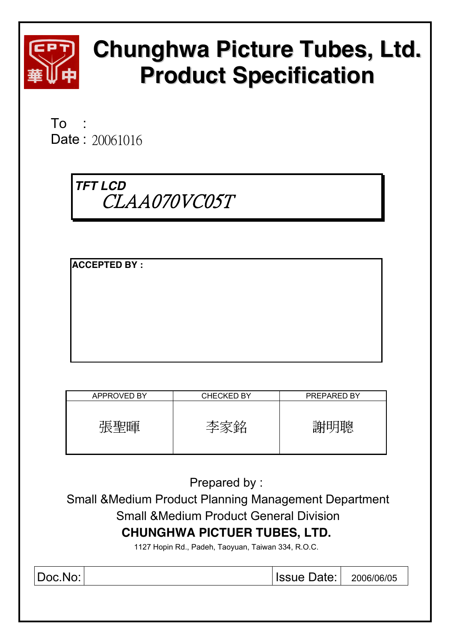

# **Chunghwa Picture Tubes, Ltd. Product Specification**

 $To$ Date: 20061016

> *TFT LCD*  CLAA070VC05T

**ACCEPTED BY :** 

| APPROVED BY | <b>CHECKED BY</b> | <b>PREPARED BY</b> |
|-------------|-------------------|--------------------|
| 声耳耳<br>''蛋  | ≃.                |                    |

Prepared by :

 Small &Medium Product Planning Management Department Small &Medium Product General Division **CHUNGHWA PICTUER TUBES, LTD.** 

1127 Hopin Rd., Padeh, Taoyuan, Taiwan 334, R.O.C.

Doc.No: Issue Date: 2006/06/05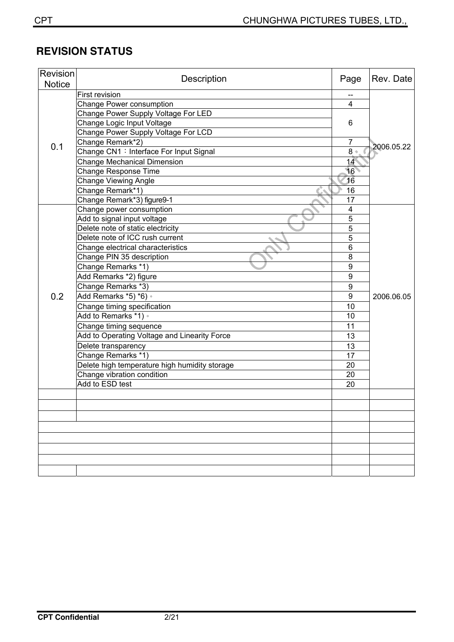# **REVISION STATUS**

| Revision<br><b>Notice</b> | Description                                   | Page             | Rev. Date  |
|---------------------------|-----------------------------------------------|------------------|------------|
|                           | First revision                                |                  |            |
|                           | Change Power consumption                      | 4                |            |
|                           | Change Power Supply Voltage For LED           |                  |            |
|                           | Change Logic Input Voltage                    | 6                |            |
| 0.1                       | Change Power Supply Voltage For LCD           |                  |            |
|                           | Change Remark*2)                              | $\overline{7}$   | 2006.05.22 |
|                           | Change CN1: Interface For Input Signal        | 8                |            |
|                           | <b>Change Mechanical Dimension</b>            | 14               |            |
|                           | <b>Change Response Time</b>                   | 16               |            |
|                           | <b>Change Viewing Angle</b>                   | 16               |            |
|                           | Change Remark*1)                              | 16               |            |
|                           | Change Remark*3) figure9-1                    | 17               |            |
|                           | Change power consumption                      | 4                |            |
|                           | Add to signal input voltage                   | 5                |            |
|                           | Delete note of static electricity             | $\overline{5}$   |            |
|                           | Delete note of ICC rush current               | 5                |            |
|                           | Change electrical characteristics             | $6\phantom{1}6$  |            |
|                           | Change PIN 35 description                     | 8                |            |
|                           | Change Remarks *1)                            | $\boldsymbol{9}$ |            |
|                           | Add Remarks *2) figure                        | 9                |            |
|                           | Change Remarks *3)                            | $\boldsymbol{9}$ |            |
| 0.2                       | Add Remarks *5) *6) ·                         | 9                | 2006.06.05 |
|                           | Change timing specification                   | 10               |            |
|                           | Add to Remarks *1) .                          | 10               |            |
|                           | Change timing sequence                        | 11               |            |
|                           | Add to Operating Voltage and Linearity Force  | 13               |            |
|                           | Delete transparency                           | 13               |            |
|                           | Change Remarks *1)                            | 17               |            |
|                           | Delete high temperature high humidity storage | 20               |            |
|                           | Change vibration condition                    | 20               |            |
|                           | Add to ESD test                               | 20               |            |
|                           |                                               |                  |            |
|                           |                                               |                  |            |
|                           |                                               |                  |            |
|                           |                                               |                  |            |
|                           |                                               |                  |            |
|                           |                                               |                  |            |
|                           |                                               |                  |            |
|                           |                                               |                  |            |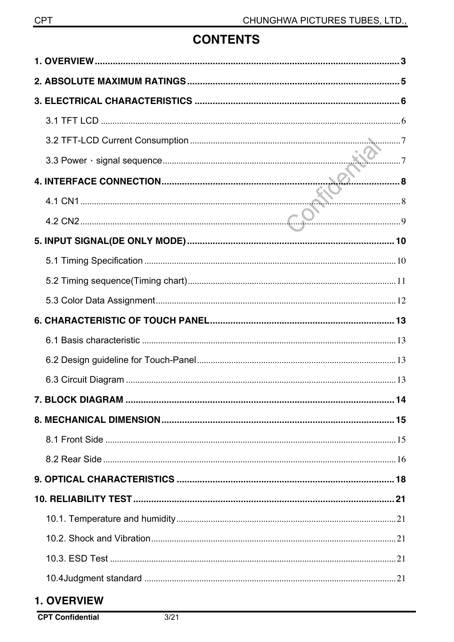# **CONTENTS**

## 1. OVERVIEW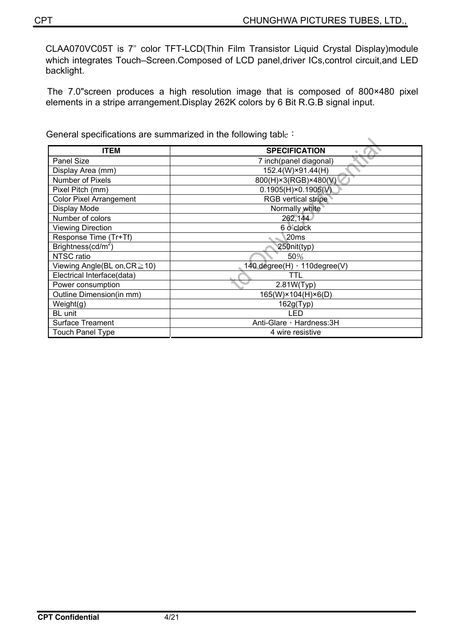CLAA070VC05T is 7ʵ color TFT-LCD(Thin Film Transistor Liquid Crystal Display)module which integrates Touch–Screen.Composed of LCD panel,driver ICs,control circuit,and LED backlight.

The 7.0"screen produces a high resolution image that is composed of 800×480 pixel elements in a stripe arrangement.Display 262K colors by 6 Bit R.G.B signal input.

General specifications are summarized in the following table :

| <b>ITEM</b>                        | <b>SPECIFICATION</b><br>٠    |
|------------------------------------|------------------------------|
| Panel Size                         | 7 inch(panel diagonal)       |
| Display Area (mm)                  | 152.4(W)×91.44(H)            |
| <b>Number of Pixels</b>            | 800(H)×3(RGB)×480(V)         |
| Pixel Pitch (mm)                   | $0.1905(H) \times 0.1905(V)$ |
| <b>Color Pixel Arrangement</b>     | <b>RGB</b> vertical stripe   |
| Display Mode                       | Normally white               |
| Number of colors                   | 262,144                      |
| <b>Viewing Direction</b>           | 6 o'clock                    |
| Response Time (Tr+Tf)              | 20ms                         |
| Brightness( $cd/m2$ )              | 250nit(typ)                  |
| NTSC ratio                         | 50%                          |
| Viewing Angle(BL on, $CR \ge 10$ ) | 140 degree(H) · 110degree(V) |
| Electrical Interface(data)         | TTL                          |
| Power consumption                  | 2.81W(Typ)                   |
| Outline Dimension(in mm)           | 165(W)×104(H)×6(D)           |
| Weight(g)                          | 162g(Typ)                    |
| BL unit                            | LED                          |
| <b>Surface Treament</b>            | Anti-Glare, Hardness: 3H     |
| <b>Touch Panel Type</b>            | 4 wire resistive             |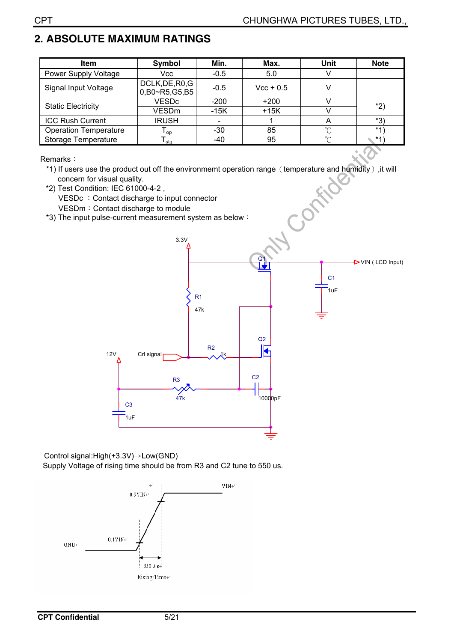## **2. ABSOLUTE MAXIMUM RATINGS**

| <b>Item</b>                  | Symbol                           | Min.   | Max.        | Unit   | <b>Note</b> |
|------------------------------|----------------------------------|--------|-------------|--------|-------------|
| <b>Power Supply Voltage</b>  | Vcc                              | $-0.5$ | 5.0         |        |             |
| Signal Input Voltage         | DCLK, DE, R0, G<br>0,B0~R5,G5,B5 | $-0.5$ | $Vec + 0.5$ |        |             |
| <b>Static Electricity</b>    | <b>VESDc</b>                     | $-200$ | $+200$      |        | *2)         |
|                              | VESDm                            | $-15K$ | $+15K$      |        |             |
| <b>ICC Rush Current</b>      | <b>IRUSH</b>                     |        |             |        | *3)         |
| <b>Operation Temperature</b> | l op i                           | -30    | 85          | $\sim$ | $*4'$       |
| <b>Storage Temperature</b>   | l stq                            | -40    | 95          | $\sim$ | $*4$        |

Remarks:

\*1) If users use the product out off the environmemt operation range (temperature and humidity), it will<br>concern for visual quality.<br>\*2) Test Condition: IEC 61000-4-2,<br>VESDc : Contact discharge to input connector<br>VESDm : concern for visual quality.

\*2) Test Condition: IEC 61000-4-2 , VESDc : Contact discharge to input connector VESDm: Contact discharge to module

 $*3$ ) The input pulse-current measurement system as below :



Control signal: $High(+3.3V) \rightarrow Low(GND)$ 

Supply Voltage of rising time should be from R3 and C2 tune to 550 us.

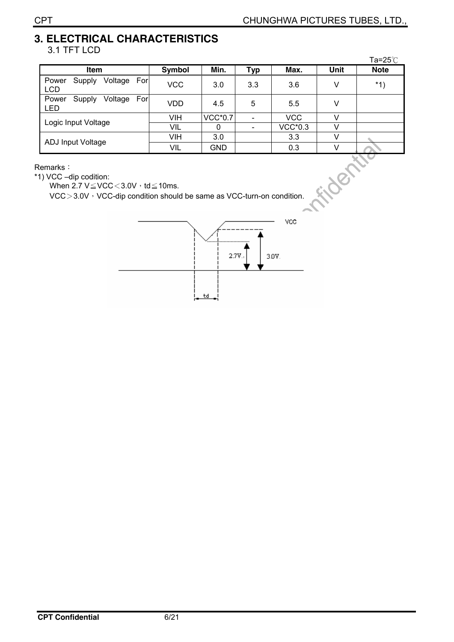#### **3. ELECTRICAL CHARACTERISTICS** 3.1 TFT LCD

|                                                                                                                                                                          |               |                |            |                |        | Ta=25℃      |  |
|--------------------------------------------------------------------------------------------------------------------------------------------------------------------------|---------------|----------------|------------|----------------|--------|-------------|--|
| Item                                                                                                                                                                     | <b>Symbol</b> | Min.           | <b>Typ</b> | Max.           | Unit   | <b>Note</b> |  |
| Voltage<br>Power<br>For<br>Supply<br><b>LCD</b>                                                                                                                          | <b>VCC</b>    | 3.0            | 3.3        | 3.6            | V      | $*1)$       |  |
| For<br>Supply<br>Voltage<br>Power<br>LED                                                                                                                                 | <b>VDD</b>    | 4.5            | 5          | 5.5            | $\vee$ |             |  |
| Logic Input Voltage                                                                                                                                                      | VIH           | <b>VCC*0.7</b> |            | <b>VCC</b>     | V      |             |  |
|                                                                                                                                                                          | VIL           | $\Omega$       |            | <b>VCC*0.3</b> | v      |             |  |
|                                                                                                                                                                          | VIH           | 3.0            |            | 3.3            | V      |             |  |
| <b>ADJ Input Voltage</b>                                                                                                                                                 | VIL           | <b>GND</b>     |            | 0.3            | v      |             |  |
| Remarks ∶<br>350<br>1) VCC -dip codition:<br>When 2.7 $V \leq VCC < 3.0V$ , td $\leq$ 10ms.<br>$VCC > 3.0V$ , VCC-dip condition should be same as VCC-turn-on condition. |               |                |            |                |        |             |  |

Remarks:

\*1) VCC -dip codition:

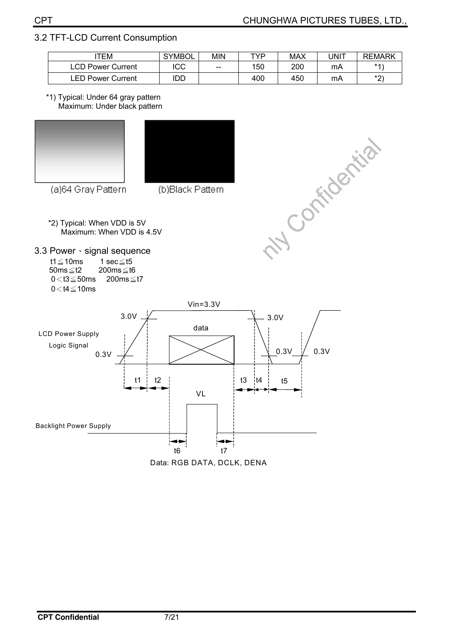**NY Comments** 

## 3.2 TFT-LCD Current Consumption

| TEM                      | <b>SYMBOL</b> | <b>MIN</b> | TVD | MAX | UNIT | <b>REMARK</b> |
|--------------------------|---------------|------------|-----|-----|------|---------------|
| LCD Power Current        | ICC           | $- -$      | 150 | 200 | mA   | $*4'$         |
| <b>LED Power Current</b> | IDD           |            | 400 | 450 | mA   | $*$<br>_      |

\*1) Typical: Under 64 gray pattern Maximum: Under black pattern





(a)64 Gray Pattern

(b)Black Pattern

\*2) Typical: When VDD is 5V Maximum: When VDD is 4.5V

3.3 Power · signal sequence

t1 $\leq$ 10ms 1 sec $\leq$ t5 50ms $\leq$ t2 200 $ms \leq t6$  $0 < t3 \leq 50$ ms 200ms $\leq t7$  $0 < t4 \le 10$ ms



Data: RGB DATA, DCLK, DENA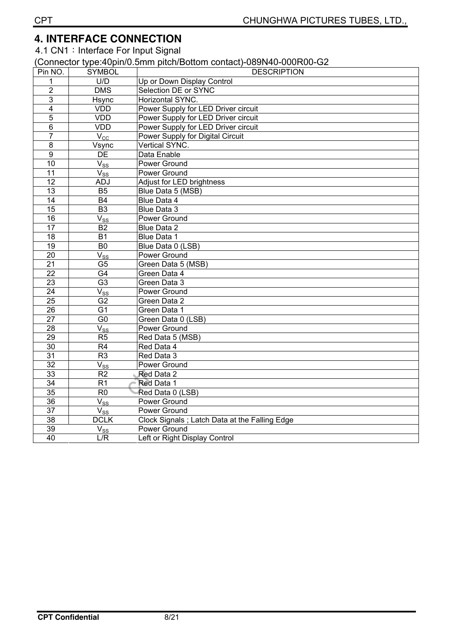## **4. INTERFACE CONNECTION**

4.1 CN1: Interface For Input Signal

#### (Connector type:40pin/0.5mm pitch/Bottom contact)-089N40-000R00-G2

| Pin NO.                 | <b>SYMBOL</b>       | <b>DESCRIPTION</b>                            |
|-------------------------|---------------------|-----------------------------------------------|
| 1                       | U/D                 | Up or Down Display Control                    |
| $\overline{2}$          | <b>DMS</b>          | Selection DE or SYNC                          |
| 3                       | Hsync               | Horizontal SYNC.                              |
| $\overline{\mathbf{4}}$ | <b>VDD</b>          | Power Supply for LED Driver circuit           |
| $\overline{5}$          | <b>VDD</b>          | Power Supply for LED Driver circuit           |
| 6                       | <b>VDD</b>          | Power Supply for LED Driver circuit           |
| $\overline{7}$          | $V_{\rm CC}$        | Power Supply for Digital Circuit              |
| 8                       | Vsync               | Vertical SYNC.                                |
| $\overline{9}$          | <b>DE</b>           | Data Enable                                   |
| 10                      | $V_{SS}$            | Power Ground                                  |
| $\overline{11}$         | $V_{SS}$            | Power Ground                                  |
| $\overline{12}$         | <b>ADJ</b>          | <b>Adjust for LED brightness</b>              |
| 13                      | <b>B5</b>           | Blue Data 5 (MSB)                             |
| 14                      | <b>B4</b>           | Blue Data 4                                   |
| $\overline{15}$         | $\overline{B3}$     | Blue Data 3                                   |
| 16                      | $V_{SS}$            | Power Ground                                  |
| 17                      | $\overline{B2}$     | <b>Blue Data 2</b>                            |
| $\overline{18}$         | $\overline{B1}$     | Blue Data 1                                   |
| $\overline{19}$         | $\overline{B0}$     | Blue Data 0 (LSB)                             |
| $\overline{20}$         | $V_{SS}$            | Power Ground                                  |
| $\overline{21}$         | $\overline{G5}$     | Green Data 5 (MSB)                            |
| $\overline{22}$         | $\overline{G4}$     | Green Data 4                                  |
| $\overline{23}$         | $\overline{G3}$     | Green Data 3                                  |
| $\overline{24}$         | $V_{SS}$            | Power Ground                                  |
| $\overline{25}$         | G <sub>2</sub>      | Green Data 2                                  |
| $\overline{26}$         | G <sub>1</sub>      | Green Data 1                                  |
| $\overline{27}$         | $\overline{G0}$     | Green Data 0 (LSB)                            |
| 28                      | $\overline{V_{SS}}$ | Power Ground                                  |
| 29                      | $\overline{R5}$     | Red Data 5 (MSB)                              |
| $\overline{30}$         | R <sub>4</sub>      | Red Data 4                                    |
| $\overline{31}$         | R <sub>3</sub>      | Red Data 3                                    |
| $\overline{32}$         | $\overline{V}_{SS}$ | Power Ground                                  |
| $\overline{33}$         | $\overline{R2}$     | Red Data 2                                    |
| $\overline{34}$         | $\overline{R1}$     | Red Data 1                                    |
| $\overline{35}$         | R <sub>0</sub>      | Red Data 0 (LSB)                              |
| $\overline{36}$         | $V_{SS}$            | Power Ground                                  |
| 37                      | $V_{SS}$            | Power Ground                                  |
| $\overline{38}$         | <b>DCLK</b>         | Clock Signals; Latch Data at the Falling Edge |
| $\overline{39}$         | $V_{SS}$            | Power Ground                                  |
| $\overline{40}$         | L/R                 | Left or Right Display Control                 |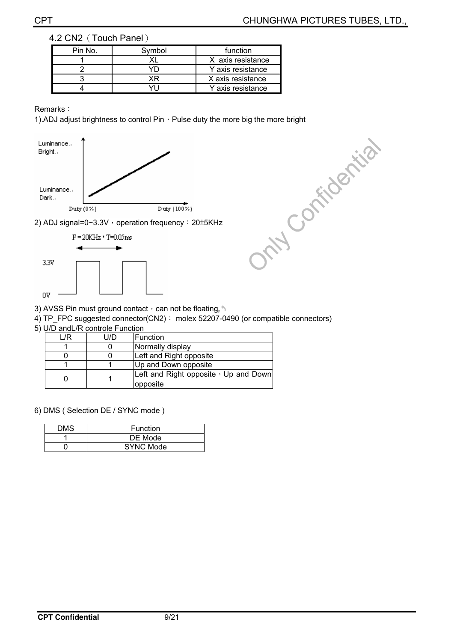#### 4.2 CN2 (Touch Panel)

| Pin No. | Symbol | function          |  |  |
|---------|--------|-------------------|--|--|
|         |        | X axis resistance |  |  |
|         |        | Y axis resistance |  |  |
|         |        | X axis resistance |  |  |
|         |        | Y axis resistance |  |  |

#### Remarks:



2) ADJ signal=0~3.3V · operation frequency: 20±5KHz



- 3) AVSS Pin must ground contact, can not be floating.
- 4) TP\_FPC suggested connector(CN2): molex 52207-0490 (or compatible connectors)
- 5) U/D andL/R controle Function

| /R | U/D | Function                             |
|----|-----|--------------------------------------|
|    |     | Normally display                     |
|    |     | Left and Right opposite              |
|    |     | Up and Down opposite                 |
|    |     | Left and Right opposite, Up and Down |
|    |     | opposite                             |

6) DMS ( Selection DE / SYNC mode )

| DMS | Function         |
|-----|------------------|
|     | DE Mode          |
|     | <b>SYNC Mode</b> |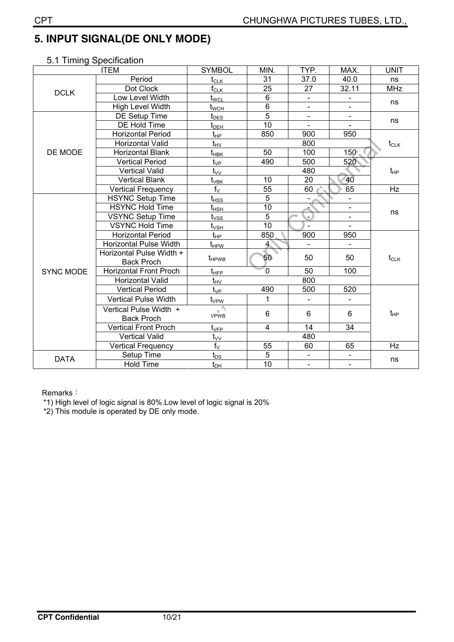## **5. INPUT SIGNAL(DE ONLY MODE)**

| <b>ITEM</b>      |                               | <b>SYMBOL</b>                               | MIN.            | TYP.                     | MAX.                     | <b>UNIT</b> |  |
|------------------|-------------------------------|---------------------------------------------|-----------------|--------------------------|--------------------------|-------------|--|
|                  | Period                        | $t_{\scriptstyle\textrm{CLK}}$              | $\overline{31}$ | 37.0                     | 40.0                     | ns          |  |
| <b>DCLK</b>      | Dot Clock                     | $\mathsf{f}_{\mathsf{CLK}}$                 | 25              | 27                       | 32.11                    | <b>MHz</b>  |  |
|                  | Low Level Width               | t <sub>wcl</sub>                            | $\overline{6}$  | $\blacksquare$           | $\blacksquare$           | ns          |  |
|                  | High Level Width              | t <sub>wсн</sub>                            | $\overline{6}$  | $\blacksquare$           | $\blacksquare$           |             |  |
|                  | DE Setup Time                 | $t_{\underline{\sf DES}}$                   | $\overline{5}$  |                          |                          | ns          |  |
|                  | DE Hold Time                  | $\mathfrak{t}_{\scriptscriptstyle \sf DEH}$ | 10              | $\blacksquare$           |                          |             |  |
|                  | <b>Horizontal Period</b>      | $t_{HP}$                                    | 850             | 900                      | 950                      |             |  |
|                  | Horizontal Valid              | $\mathsf{t}_{\mathsf{HV}}$                  |                 | 800                      |                          | $t_{CLK}$   |  |
| DE MODE          | Horizontal Blank              | t <sub>нвк</sub>                            | 50              | 100                      | $150^\circ$ .            |             |  |
|                  | <b>Vertical Period</b>        | $t_{\rm VP}$                                | 490             | 500                      | 520                      |             |  |
|                  | Vertical Valid                | $t_{VV}$                                    |                 | 480                      |                          | $t_{HP}$    |  |
|                  | <b>Vertical Blank</b>         | t <sub>vвк</sub>                            | 10              | 20                       | 40                       |             |  |
|                  | Vertical Frequency            | $f_V$                                       | $\overline{55}$ | 60                       | 65                       | Hz          |  |
|                  | <b>HSYNC Setup Time</b>       | ${\rm t}_{\rm HSS}$                         | $\overline{5}$  | $\blacksquare$           | ä,                       | ns          |  |
|                  | <b>HSYNC Hold Time</b>        | ${\rm t_{HSH}}$                             | 10              |                          | $\overline{a}$           |             |  |
|                  | <b>VSYNC Setup Time</b>       | t <sub>vss</sub>                            | $\overline{5}$  | $\overline{\phantom{0}}$ | $\blacksquare$           |             |  |
|                  | <b>VSYNC Hold Time</b>        | $t_{\scriptscriptstyle\rm{VSH}}$            | 10              | $\overline{a}$           | $\mathbf{r}$             |             |  |
|                  | <b>Horizontal Period</b>      | $t_{HP}$                                    | 850             | 900                      | 950                      |             |  |
|                  | <b>Horizontal Pulse Width</b> | t <sub>HPW</sub>                            | $\overline{4}$  | $\blacksquare$           | $\overline{\phantom{0}}$ |             |  |
|                  | Horizontal Pulse Width +      |                                             | 50              | 50                       | 50                       |             |  |
|                  | <b>Back Proch</b>             | t <sub>HPWB</sub>                           |                 |                          |                          | $t_{CLK}$   |  |
| <b>SYNC MODE</b> | <b>Horizontal Front Proch</b> | $t_{\text{HFP}}$                            | $\overline{0}$  | 50                       | 100                      |             |  |
|                  | Horizontal Valid              | $t_{\text{HV}}$                             |                 | 800                      |                          |             |  |
|                  | <b>Vertical Period</b>        | $t_{\rm VP}$                                | 490             | 500                      | 520                      |             |  |
|                  | <b>Vertical Pulse Width</b>   | $t_{\rm VPW}$                               | 1               | $\overline{\phantom{a}}$ | Ξ.                       |             |  |
|                  | Vertical Pulse Width +        | VPWB                                        | 6               | 6                        | 6                        | $t_{HP}$    |  |
|                  | <b>Back Proch</b>             |                                             |                 |                          |                          |             |  |
|                  | <b>Vertical Front Proch</b>   | $t_{\scriptscriptstyle\rm VFP}$             | 4               | 14                       | 34                       |             |  |
|                  | <b>Vertical Valid</b>         | $t_{\vee\vee}$                              |                 | 480                      |                          |             |  |
|                  | <b>Vertical Frequency</b>     | $f_V$                                       | 55              | 60                       | 65                       | Hz          |  |
| <b>DATA</b>      | Setup Time                    | $t_{DS}$                                    | $\overline{5}$  | $\blacksquare$           | $\blacksquare$           |             |  |
|                  | <b>Hold Time</b>              | $t_{DH}$                                    | $\overline{10}$ | $\blacksquare$           | $\blacksquare$           | ns          |  |

## 5.1 Timing Specification

Remarks:

\*1) High level of logic signal is 80%.Low level of logic signal is 20%

\*2) This module is operated by DE only mode.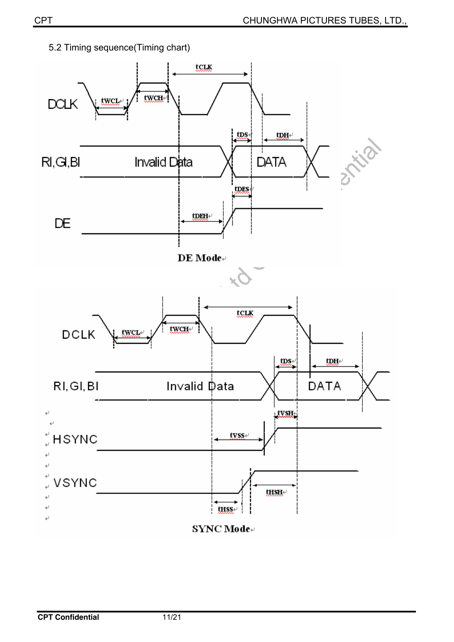

5.2 Timing sequence(Timing chart)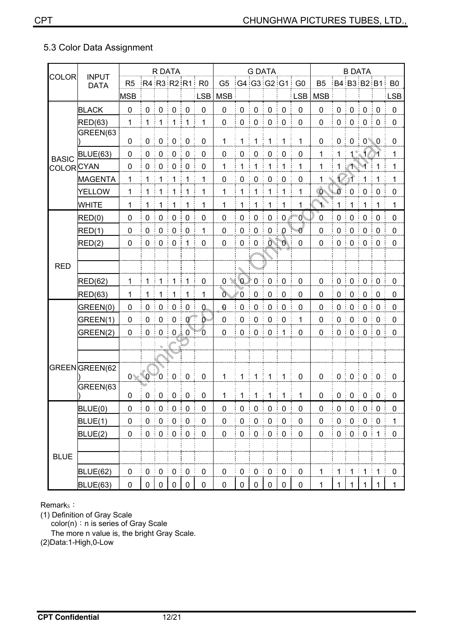## 5.3 Color Data Assignment

|                           | <b>INPUT</b>    |                |              | R DATA                         |                                 |                   |                     |                     |                   |                   | <b>G DATA</b>                       |                 |                |                     |                                                                                 | <b>B DATA</b>    |                       |                  |                |
|---------------------------|-----------------|----------------|--------------|--------------------------------|---------------------------------|-------------------|---------------------|---------------------|-------------------|-------------------|-------------------------------------|-----------------|----------------|---------------------|---------------------------------------------------------------------------------|------------------|-----------------------|------------------|----------------|
| <b>COLOR</b>              | <b>DATA</b>     | R <sub>5</sub> |              |                                |                                 |                   | R4 R3 R2 R1 R0      | G5 :G4:G3:G2:G1: G0 |                   |                   |                                     |                 |                | B <sub>5</sub>      |                                                                                 |                  |                       |                  | B4 B3 B2 B1 B0 |
|                           |                 | <b>MSB</b>     |              |                                |                                 |                   | <b>LSB</b>          | <b>MSB</b>          |                   |                   |                                     |                 | <b>LSB</b>     | <b>MSB</b>          |                                                                                 |                  |                       |                  | <b>LSB</b>     |
|                           | <b>BLACK</b>    | $\mathbf 0$    | $\mathbf 0$  | $\mathbf 0$                    | $\mathbf 0$<br>÷                | $\mathbf 0$       | $\pmb{0}$           | $\pmb{0}$           | $\mathbf 0$       | $\pmb{0}$         | $\mathbf 0$                         | $\mathbf 0$     | $\mathbf 0$    | 0                   | $\mathbf 0$                                                                     | $\mathbf 0$      | $\overline{0}$<br>÷   | $\mathbf 0$<br>÷ | $\mathbf 0$    |
|                           | <b>RED(63)</b>  | $\mathbf{1}$   | 1:           | $\mathbf{1}$                   | $\frac{1}{2}$ 1                 | ે 1               | 1                   | $\pmb{0}$           | $\pmb{0}$<br>÷    | $\pmb{0}$         | $\mathbf 0$                         | $\mathbf 0$     | $\mathbf 0$    | 0                   | $\pmb{0}$                                                                       | $\pmb{0}$        | $\pmb{0}$<br>ŧ        | $\mathbf 0$<br>÷ | $\pmb{0}$      |
|                           | GREEN(63        |                |              |                                |                                 |                   |                     |                     |                   |                   |                                     |                 |                |                     |                                                                                 |                  |                       |                  |                |
|                           |                 | 0              | $\mathbf 0$  | $\pmb{0}$                      | $\pmb{0}$                       | $\mathbf 0$       | $\pmb{0}$           | $\mathbf{1}$        | 1:1               |                   | $\mathbf{1}$                        | $\overline{1}$  | 1              | 0                   | $\pmb{0}$                                                                       |                  | 0:0:0                 |                  | $\mathbf 0$    |
| <b>BASIC</b>              | <b>BLUE(63)</b> | $\mathbf 0$    | $\mathbf 0$  | $\mathbf 0$<br>İ,              | $\pmb{0}$<br>÷                  | $\mathbf 0$       | $\mathbf 0$         | $\mathbf 0$         | $\pmb{0}$         | $\pmb{0}$         | $\mathbf 0$                         | $\mathbf 0$     | $\mathbf 0$    | 1                   | $\mathbf{1}$                                                                    |                  | 13161                 |                  | $\mathbf{1}$   |
| COLOR <mark>IC</mark> YAN |                 | 0              | 0            | $\mathbf 0$<br>÷               | ŧ<br>$\overline{0}$             | $\mathbf 0$       | $\mathbf 0$         | $\mathbf 1$         | 1                 | $\mathbf 1$       | 1                                   | 1               | 1              | 1                   | $\mathbf 1$                                                                     | 11               |                       | 1                | 1              |
|                           | <b>MAGENTA</b>  | 1              | 1            | $\mathbf{1}$                   | 1                               | 1                 | 1                   | $\pmb{0}$           | $\pmb{0}$         | $\pmb{0}$<br>÷    | $\mathbf 0$<br>$\ddot{\phantom{a}}$ | $\mathbf 0$     | $\mathbf 0$    | 1                   |                                                                                 |                  | 1                     | 1                | 1              |
|                           | <b>YELLOW</b>   | 1              | 1            | 1                              | ŧ<br>1                          | $\mathbf{1}$      | 1                   | $\mathbf 1$         | $\mathbf{1}$      | 1                 | 1                                   | 1               | $\mathbf{1}$   | $\ddot{\mathbf{0}}$ | $\sum$                                                                          | $\mathbf 0$      | $\mathbf 0$           | $\mathbf 0$      | $\mathbf 0$    |
|                           | <b>WHITE</b>    | 1              | -1           | $\mathbf 1$                    | 1                               | $\mathbf 1$       | 1                   | $\mathbf{1}$        | $\mathbf{1}$<br>÷ | $\overline{1}$    | $\mathbf{1}$                        | $\mathbf{1}$    | 1              | ነ                   | $\mathbf{1}$                                                                    | 1<br>÷           | $\mathbf 1$           | $\mathbf{1}$     | 1              |
|                           | RED(0)          | $\mathbf 0$    | 0            | 0<br>÷                         | $\mathbf 0$<br>ŧ                | $\mathbf 0$       | $\mathbf 0$         | $\pmb{0}$           | $\mathbf 0$       | $\boldsymbol{0}$  | $\mathbf 0$                         | $0 \n\in$       | $\overline{0}$ | $\mathbf 0$         | $\mathbf 0$                                                                     | $\mathbf 0$      | $\boldsymbol{0}$      | 0                | 0              |
|                           | RED(1)          | $\mathbf 0$    | $\mathbf 0$  | $\mathbf 0$                    | ŧ<br>$\mathbf 0$                | $\mathbf 0$       | 1                   | 0                   | $\mathbf 0$       | $\mathbf 0$       | $\mathbf 0$                         | $\pmb{0}$       | $\mathbf 0$    | $\mathbf 0$         | 0                                                                               | $\mathbf 0$      | $\mathbf 0$           | $\mathbf 0$      | $\mathbf 0$    |
|                           | RED(2)          | 0              | $\pmb{0}$    | $\pmb{0}$<br>ŧ                 | ŧ<br>$\mathbf 0$                | 1                 | $\mathbf 0$         | $\mathbf 0$         | $\mathbf 0$       | $\pmb{0}$         | ÷                                   | 0:0:            | $\mathbf 0$    | $\mathbf 0$         | $\pmb{0}$                                                                       | $\mathbf 0$      | $\mathbf 0$           | $\mathbf 0$      | $\pmb{0}$      |
|                           |                 |                |              |                                |                                 |                   |                     |                     |                   |                   |                                     |                 |                |                     |                                                                                 |                  |                       |                  |                |
| <b>RED</b>                |                 |                |              |                                |                                 |                   |                     |                     |                   |                   |                                     |                 |                |                     |                                                                                 |                  |                       |                  |                |
|                           | RED(62)         | 1              | $\mathbf{1}$ | $\overline{1}$                 | $\mathbf{1}$                    | $\mathbf{1}$      | $\pmb{0}$           | $\mathbf 0$         | $\mathcal{N}$ 0   | $\mathbb{F}$ 0    | $\boldsymbol{0}$                    | $\mathbf 0$     | $\mathbf 0$    | 0                   | $\mathbf 0$                                                                     | $\mathbf 0$<br>ŧ | $\mathbf 0$<br>ŧ<br>÷ | $\mathbf 0$      | $\mathbf 0$    |
|                           | RED(63)         | 1              |              | 1                              | 1                               | 1                 | 1                   | $\overline{O}$      | 70                | $\mathbf 0$       | $\mathbf 0$                         | $\mathbf 0$     | $\mathbf 0$    | 0                   | 0                                                                               | $\mathbf 0$      | $\frac{1}{2}$ 0       | $\mathbf 0$      | $\mathbf 0$    |
|                           | GREEN(0)        | $\mathbf 0$    | $\mathbf 0$  | $\pmb{0}$<br>t                 | ŧ<br>$\pmb{0}$                  | $\mathbf 0$       | $\overline{0}$      | $\pmb{0}$           | $\boldsymbol{0}$  | $\pmb{0}$         | $\mathbf 0$                         | $\mathbf 0$     | $\mathbf 0$    | 0                   | $\pmb{0}$                                                                       | $\mathbf 0$      | $\mathbf 0$           | $\mathbf 0$      | $\mathbf 0$    |
|                           | GREEN(1)        | $\mathbf 0$    | $\mathbf 0$  | $\mathbf 0$                    | $\pmb{0}$<br>Ē                  | $\mathbf{0}$<br>Ŧ | $\overline{0}$      | $\pmb{0}$           | $\mathbf 0$       | $\mathbf 0$       | $\mathbf 0$                         | $\mathbf 0$     | 1              | 0                   | $\pmb{0}$                                                                       | $\mathbf 0$      | $\mathbf 0$           | $\mathbf 0$      | $\pmb{0}$      |
|                           | GREEN(2)        | $\mathbf 0$    | $0$ :        | $\pmb{0}$                      | $\frac{1}{2}$ 0 $\frac{1}{2}$ 0 |                   | $\mathbf{0}$        | 0                   | $\mathbf 0$<br>÷  | $\boldsymbol{0}$  | $\mathbf 0$<br>$\ddot{\phantom{0}}$ | 1               | $\mathbf 0$    | 0                   | $0$ :                                                                           | $\mathbf 0$      | $\mathbf 0$<br>÷      | $\mathbf 0$<br>ŧ | $\mathbf 0$    |
|                           |                 |                |              |                                |                                 |                   |                     |                     |                   |                   |                                     |                 |                |                     |                                                                                 |                  |                       |                  |                |
|                           |                 |                |              |                                |                                 |                   |                     |                     |                   |                   |                                     |                 |                |                     |                                                                                 |                  |                       |                  |                |
|                           | GREENGREEN(62   |                | I            |                                |                                 |                   |                     |                     |                   |                   |                                     |                 |                |                     |                                                                                 |                  |                       |                  |                |
|                           | GREEN(63        |                | 0 0          | $\overline{0}$                 | $\frac{1}{2}$ 0<br>÷            | $\mathbf 0$       | $\mathbf 0$         | $\mathbf{1}$        |                   |                   | 1:1:1                               | $\overline{1}$  | $\mathbf 0$    | 0                   | $0^{\frac{1}{2}}$                                                               | $0 \nvert 0$     | ÷                     | $\mathbf 0$      | $\mathbf 0$    |
|                           |                 | 0              |              | $0 \nvert 0 \nvert 0 \nvert 0$ |                                 |                   | $\mathbf 0$         | $\mathbf{1}$        |                   |                   | 1:1:1:1                             |                 | 1              | $\pmb{0}$           | $\frac{1}{2}$ 0 $\frac{1}{2}$ 0 $\frac{1}{2}$ 0 $\frac{1}{2}$ 0 $\frac{1}{2}$ 0 |                  |                       |                  | $\mathbf 0$    |
|                           | BLUE(0)         | $\pmb{0}$      |              | $0 \mid 0 \mid 0 \mid 0$       |                                 |                   | $\pmb{0}$           | $\pmb{0}$           |                   | $0 \mid 0 \mid 0$ |                                     | $\frac{1}{2}$ 0 | $\pmb{0}$      | $\pmb{0}$           | $\begin{array}{c} 0 & 0 & 0 \\ 0 & \end{array}$                                 |                  |                       |                  | $\pmb{0}$      |
|                           | BLUE(1)         | $\pmb{0}$      |              | $0 \nmid 0 \nmid 0 \nmid 0$    |                                 |                   | $\pmb{0}$           | $\pmb{0}$           |                   | 0:0:0             |                                     | $\frac{1}{2}$ 0 | $\pmb{0}$      | $\pmb{0}$           | $\begin{array}{c} 0 & 0 \\ 0 & \end{array}$                                     |                  |                       | $\frac{1}{2}$ 0  | $\mathbf{1}$   |
|                           | BLUE(2)         | $\pmb{0}$      |              | 0:0:0:0                        |                                 |                   | $\pmb{0}$           | $\pmb{0}$           |                   | 0:0               | $\mathbf 0$<br>÷                    | $\frac{1}{2}$ 0 | $\pmb{0}$      | 0                   |                                                                                 | 0:0:0:1          |                       |                  | $\pmb{0}$      |
|                           |                 |                |              |                                |                                 |                   |                     |                     |                   |                   |                                     |                 |                |                     |                                                                                 |                  |                       |                  |                |
| <b>BLUE</b>               |                 |                |              |                                |                                 |                   |                     |                     |                   |                   |                                     |                 |                |                     |                                                                                 |                  |                       |                  |                |
|                           | <b>BLUE(62)</b> | $\pmb{0}$      | $0 \t{0}$    |                                | $\frac{1}{2}$ 0 $\frac{1}{2}$ 0 |                   | $\mathsf{O}\xspace$ | $\mathsf{O}\xspace$ | $\pmb{0}$         | $\frac{1}{2}$ 0   | $\frac{1}{2}$ 0                     | $\frac{1}{2}$ 0 | $\pmb{0}$      | $\mathbf{1}$        | $\frac{1}{2}$ 1 $\frac{1}{2}$ 1                                                 |                  | $\mathbf{1}$<br>÷     | $\mathbf{1}$     | $\pmb{0}$      |
|                           | <b>BLUE(63)</b> | $\pmb{0}$      |              | $0 \mid 0$                     | $\mathbf{0}$                    | $\mathbf 0$       | $\pmb{0}$           | $\pmb{0}$           | $\mathbf 0$       | $\mathbf 0$       | $\mathbf 0$                         | $\overline{0}$  | $\pmb{0}$      | $\mathbf{1}$        | 1                                                                               | $\mathbf{1}$     | $\mathbf{1}$          | $\mathbf{1}$     | $\mathbf{1}$   |

Remark<sub>s</sub>:

(1) Definition of Gray Scale

 $\text{color}(n)$ : n is series of Gray Scale

The more n value is, the bright Gray Scale.

(2)Data:1-High,0-Low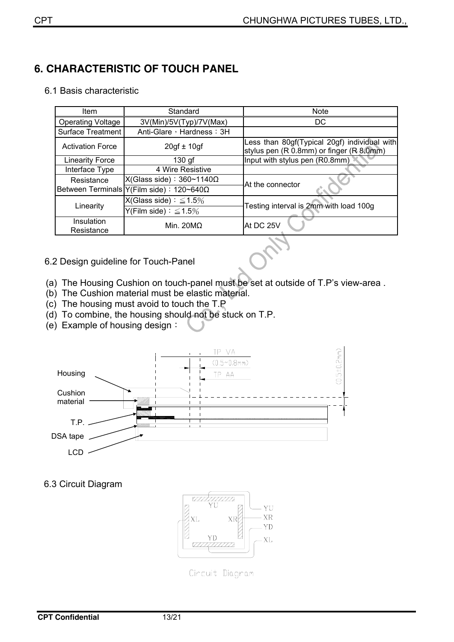## **6. CHARACTERISTIC OF TOUCH PANEL**

|  |  | 6.1 Basis characteristic |
|--|--|--------------------------|
|--|--|--------------------------|

| Item                     | Standard                                    | <b>Note</b>                                                                              |  |  |  |  |
|--------------------------|---------------------------------------------|------------------------------------------------------------------------------------------|--|--|--|--|
| <b>Operating Voltage</b> | 3V(Min)/5V(Typ)/7V(Max)                     | DC                                                                                       |  |  |  |  |
| <b>Surface Treatment</b> | Anti-Glare, Hardness: 3H                    |                                                                                          |  |  |  |  |
| <b>Activation Force</b>  | $20gf \pm 10gf$                             | Less than 80gf(Typical 20gf) individual with<br>stylus pen (R 0.8mm) or finger (R 8.0mm) |  |  |  |  |
| <b>Linearity Force</b>   | $130$ gf                                    | Input with stylus pen (R0.8mm)                                                           |  |  |  |  |
| Interface Type           | 4 Wire Resistive                            |                                                                                          |  |  |  |  |
| Resistance               | $X(Glass side): 360~1140\Omega$             | At the connector                                                                         |  |  |  |  |
|                          | Between Terminals   Υ(Film side) : 120~640Ω |                                                                                          |  |  |  |  |
| Linearity                | $X(Glass side): \leq 1.5\%$                 | Testing interval is 2mm with load 100g                                                   |  |  |  |  |
|                          | Y(Film side) $: \leq 1.5\%$                 |                                                                                          |  |  |  |  |
| Insulation<br>Resistance | Min. $20MO$                                 | IAt DC 25V                                                                               |  |  |  |  |

#### 6.2 Design guideline for Touch-Panel

- (a) The Housing Cushion on touch-panel must be set at outside of T.P's view-area .
- (b) The Cushion material must be elastic material.
- (c) The housing must avoid to touch the T.P
- (d) To combine, the housing should not be stuck on T.P.
- (e) Example of housing design:



#### 6.3 Circuit Diagram



Cincuit Diagnam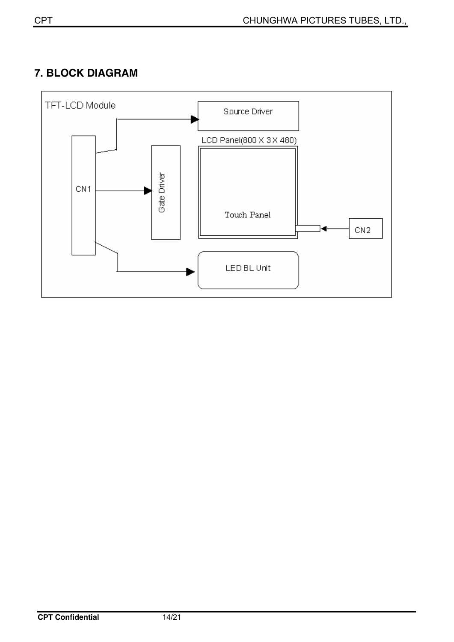## **7. BLOCK DIAGRAM**

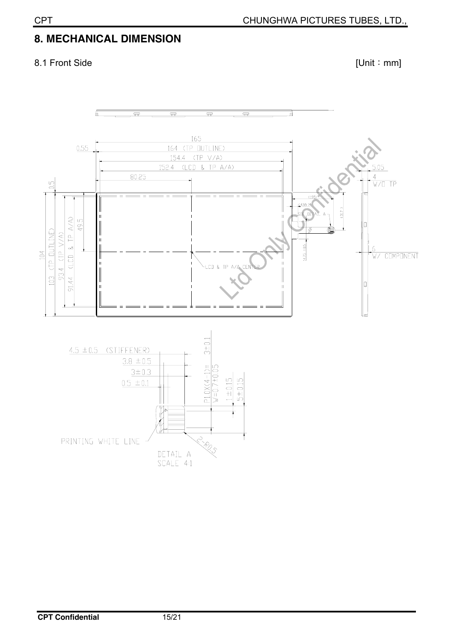## **8. MECHANICAL DIMENSION**

## 8.1 Front Side [Unit: mm]

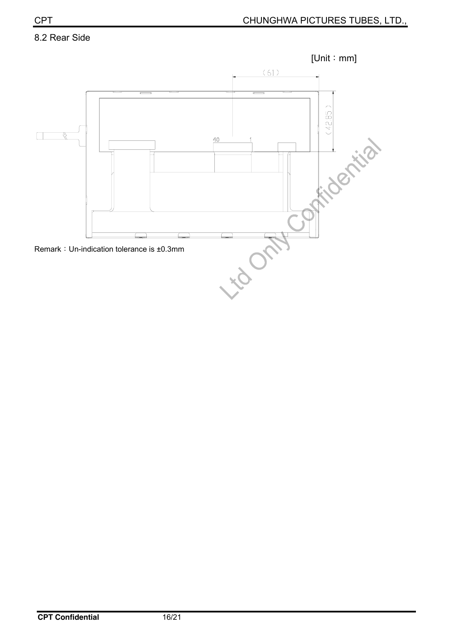#### 8.2 Rear Side

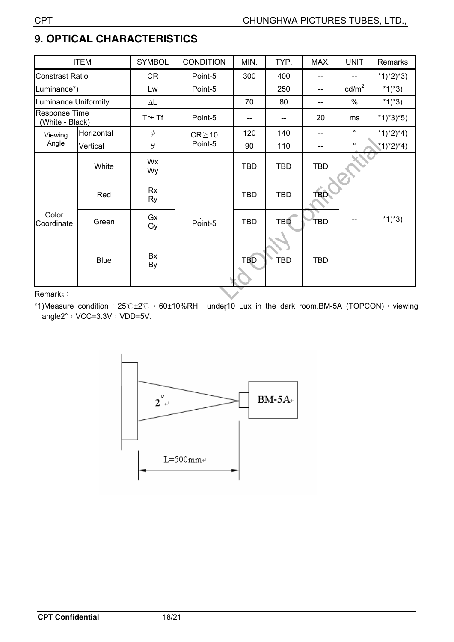# **9. OPTICAL CHARACTERISTICS**

|                                         | <b>ITEM</b> | <b>SYMBOL</b>       | <b>CONDITION</b> | MIN.       | TYP.       | MAX.       | <b>UNIT</b>     | Remarks     |
|-----------------------------------------|-------------|---------------------|------------------|------------|------------|------------|-----------------|-------------|
| <b>Constrast Ratio</b>                  |             | <b>CR</b>           | Point-5          | 300        | 400        |            | --              | *1)*2)*3)   |
| Luminance*)                             |             | Lw                  | Point-5          |            | 250        | $-$        | $\text{cd/m}^2$ | *1)*3)      |
| <b>Luminance Uniformity</b>             |             | $\Delta \mathsf{L}$ |                  | 70         | 80         | $-$        | $\%$            | *1)*3)      |
| <b>Response Time</b><br>(White - Black) |             | $Tr+Tf$             | Point-5          |            |            | 20         | ms              | $*1)*3*5)$  |
| Viewing                                 | Horizontal  | $\phi$              | $CR \ge 10$      | 120        | 140        | --         | $\circ$         | $*1)*2)*4)$ |
| Angle                                   | Vertical    | $\theta$            | Point-5          | 90         | 110        |            | $\circ$         | *1)*2)*4)   |
| Color<br>Coordinate                     | White       | Wx<br>Wy            |                  | <b>TBD</b> | <b>TBD</b> | <b>TBD</b> |                 |             |
|                                         | Red         | Rx<br><b>Ry</b>     |                  | <b>TBD</b> | <b>TBD</b> | <b>TBD</b> |                 |             |
|                                         | Green       | Gx<br>Gy            | Point-5          | <b>TBD</b> | TBD        | TBD        | --              | $*1)*3)$    |
|                                         | <b>Blue</b> | Bx<br>By            |                  | TBD        | TBD        | <b>TBD</b> |                 |             |

Remark<sub>s</sub>:

\*1)Measure condition: 25 °C ±2 °C  $\cdot$  60±10%RH under10 Lux in the dark room.BM-5A (TOPCON)  $\cdot$  viewing  $\overline{\phantom{a}}$ angle2°, VCC=3.3V, VDD=5V.

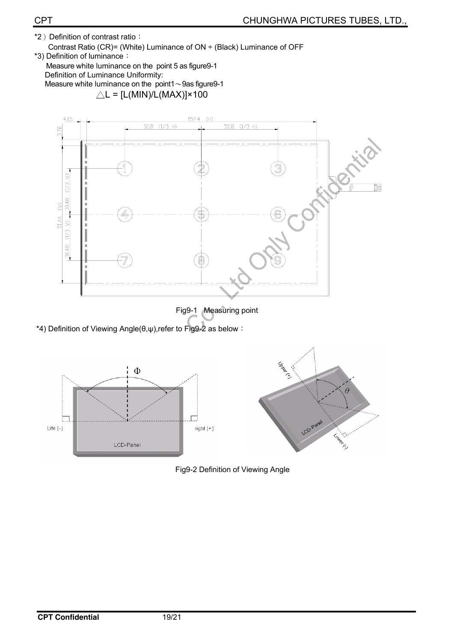\*2) Definition of contrast ratio: Contrast Ratio (CR)= (White) Luminance of ON ÷ (Black) Luminance of OFF

\*3) Definition of luminance: Measure white luminance on the point 5 as figure9-1 Definition of Luminance Uniformity: Measure white luminance on the point1 $\sim$ 9as figure9-1  $\triangle L = [L(MIN)/L(MAX)] \times 100$ 



Fig9-1 Measuring point

\*4) Definition of Viewing Angle(θ,ψ), refer to Fig9-2 as below :



Fig9-2 Definition of Viewing Angle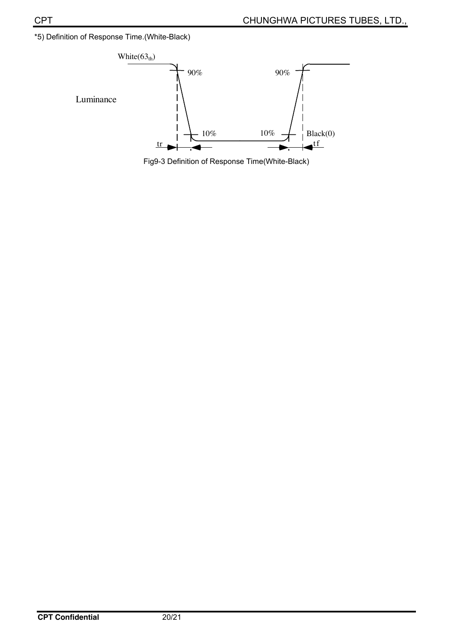\*5) Definition of Response Time.(White-Black)



Fig9-3 Definition of Response Time(White-Black)